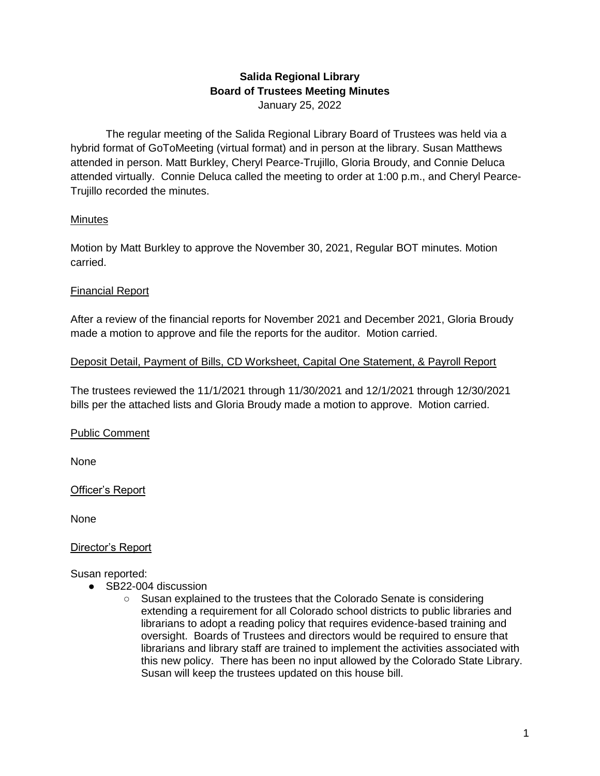## **Salida Regional Library Board of Trustees Meeting Minutes** January 25, 2022

The regular meeting of the Salida Regional Library Board of Trustees was held via a hybrid format of GoToMeeting (virtual format) and in person at the library. Susan Matthews attended in person. Matt Burkley, Cheryl Pearce-Trujillo, Gloria Broudy, and Connie Deluca attended virtually. Connie Deluca called the meeting to order at 1:00 p.m., and Cheryl Pearce-Trujillo recorded the minutes.

## Minutes

Motion by Matt Burkley to approve the November 30, 2021, Regular BOT minutes. Motion carried.

## Financial Report

After a review of the financial reports for November 2021 and December 2021, Gloria Broudy made a motion to approve and file the reports for the auditor. Motion carried.

#### Deposit Detail, Payment of Bills, CD Worksheet, Capital One Statement, & Payroll Report

The trustees reviewed the 11/1/2021 through 11/30/2021 and 12/1/2021 through 12/30/2021 bills per the attached lists and Gloria Broudy made a motion to approve. Motion carried.

# Public Comment

None

#### Officer's Report

None

#### Director's Report

Susan reported:

- SB22-004 discussion
	- Susan explained to the trustees that the Colorado Senate is considering extending a requirement for all Colorado school districts to public libraries and librarians to adopt a reading policy that requires evidence-based training and oversight. Boards of Trustees and directors would be required to ensure that librarians and library staff are trained to implement the activities associated with this new policy. There has been no input allowed by the Colorado State Library. Susan will keep the trustees updated on this house bill.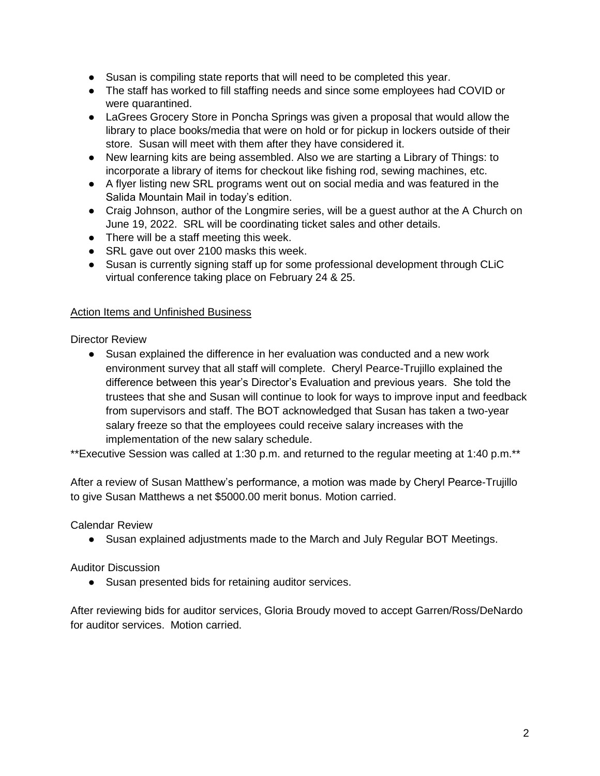- Susan is compiling state reports that will need to be completed this year.
- The staff has worked to fill staffing needs and since some employees had COVID or were quarantined.
- LaGrees Grocery Store in Poncha Springs was given a proposal that would allow the library to place books/media that were on hold or for pickup in lockers outside of their store. Susan will meet with them after they have considered it.
- New learning kits are being assembled. Also we are starting a Library of Things: to incorporate a library of items for checkout like fishing rod, sewing machines, etc.
- A flyer listing new SRL programs went out on social media and was featured in the Salida Mountain Mail in today's edition.
- Craig Johnson, author of the Longmire series, will be a guest author at the A Church on June 19, 2022. SRL will be coordinating ticket sales and other details.
- There will be a staff meeting this week.
- SRL gave out over 2100 masks this week.
- Susan is currently signing staff up for some professional development through CLiC virtual conference taking place on February 24 & 25.

## Action Items and Unfinished Business

Director Review

● Susan explained the difference in her evaluation was conducted and a new work environment survey that all staff will complete. Cheryl Pearce-Trujillo explained the difference between this year's Director's Evaluation and previous years. She told the trustees that she and Susan will continue to look for ways to improve input and feedback from supervisors and staff. The BOT acknowledged that Susan has taken a two-year salary freeze so that the employees could receive salary increases with the implementation of the new salary schedule.

\*\*Executive Session was called at 1:30 p.m. and returned to the regular meeting at 1:40 p.m.\*\*

After a review of Susan Matthew's performance, a motion was made by Cheryl Pearce-Trujillo to give Susan Matthews a net \$5000.00 merit bonus. Motion carried.

Calendar Review

● Susan explained adjustments made to the March and July Regular BOT Meetings.

# Auditor Discussion

● Susan presented bids for retaining auditor services.

After reviewing bids for auditor services, Gloria Broudy moved to accept Garren/Ross/DeNardo for auditor services. Motion carried.